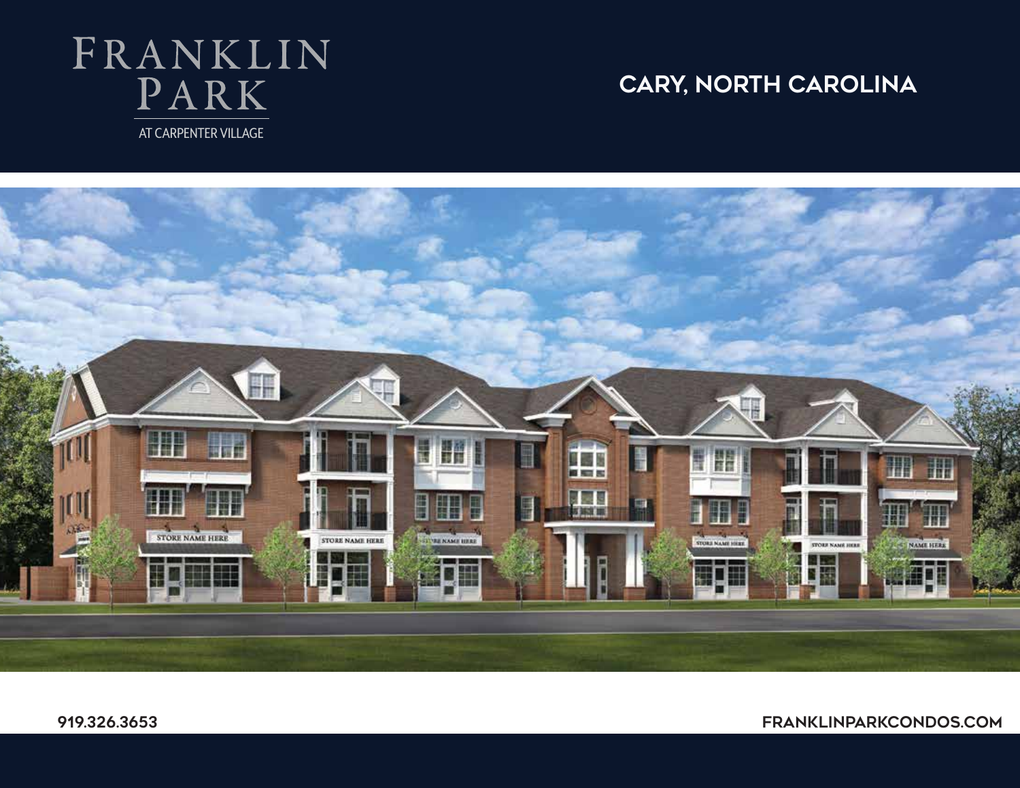# FRANKLIN PARK AT CARPENTER VILLAGE

## **cary, North Carolina**

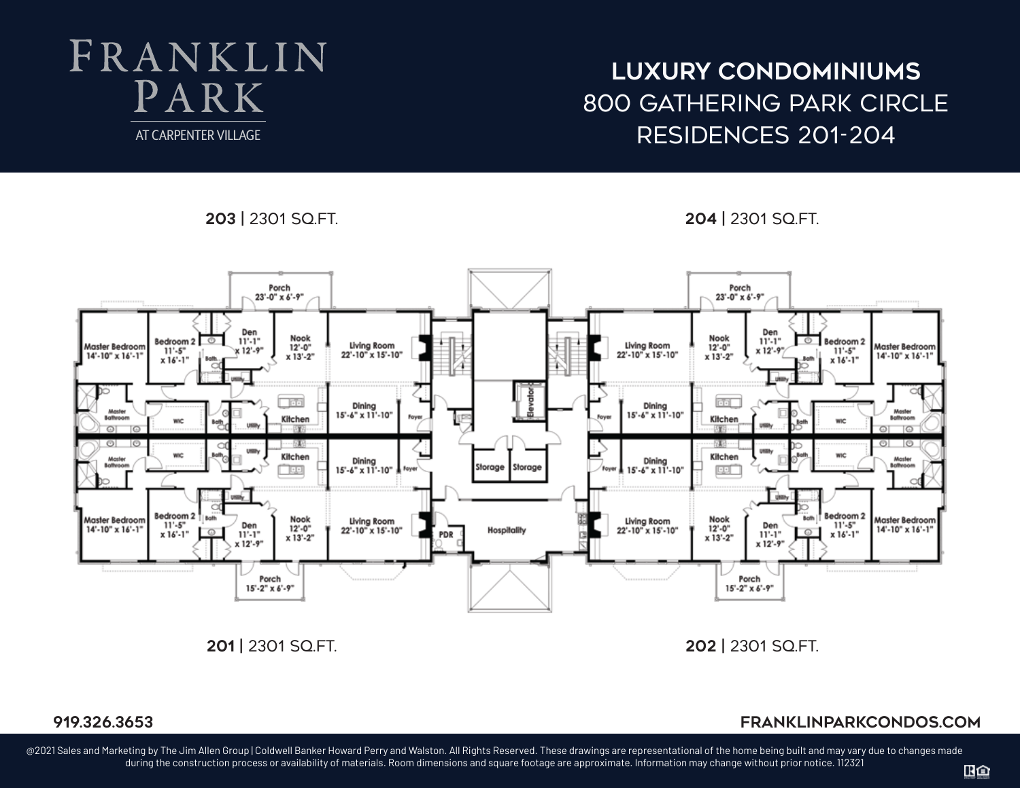# FRANKLIN  $PARK$ AT CARPENTER VILLAGE

## **luxury condominiums** 800 gathering park circle Residences 201-204

**203 |** 2301 sq.ft. **204 |** 2301 sq.ft.



### **919.326.3653 franklinparkcondos.com 919.326.3653**

@2021 Sales and Marketing by The Jim Allen Group | Coldwell Banker Howard Perry and Walston. All Rights Reserved. These drawings are representational of the home being built and may vary due to changes made during the construction process or availability of materials. Room dimensions and square footage are approximate. Information may change without prior notice. 112321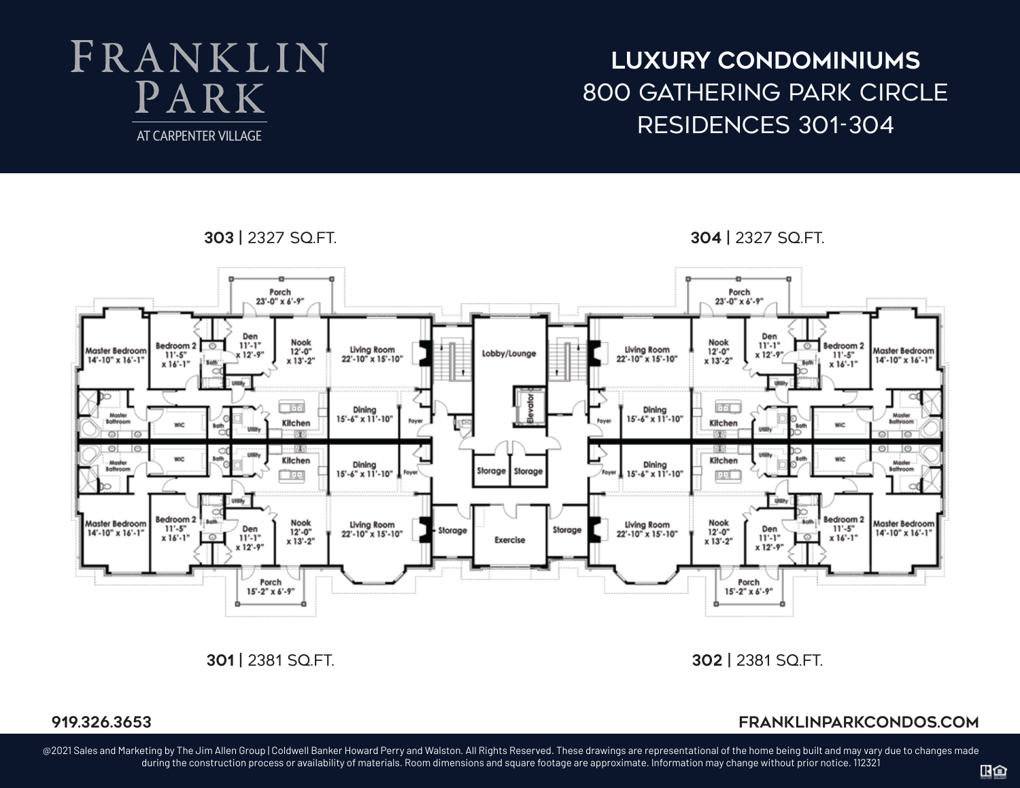# FRANKLIN PARK AT CARPENTER VILLAGE

**luxury condominiums** 800 gathering park circle Residences 301-304





**301 |** 2381 sq.ft. **302 |** 2381 sq.ft.

### **919.326.3653 franklinparkcondos.com**

@2021 Sales and Marketing by The Jim Allen Group | Coldwell Banker Howard Perry and Walston. All Rights Reserved. These drawings are representational of the home being built and may vary due to changes made during the construction process or availability of materials. Room dimensions and square footage are approximate. Information may change without prior notice. 112321